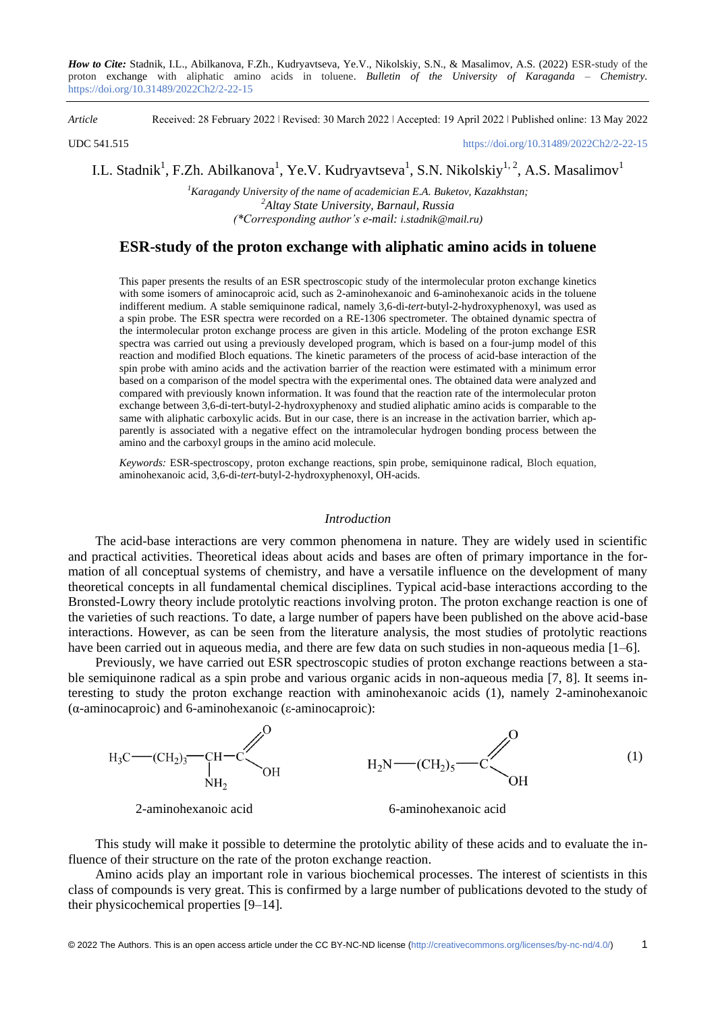*How to Cite:* Stadnik, I.L., Abilkanova, F.Zh., Kudryavtseva, Ye.V., Nikolskiy, S.N., & Masalimov, A.S. (2022) ESR-study of the proton exchange with aliphatic amino acids in toluene. *Bulletin of the University of Karaganda – Chemistry.*  https://doi.org/10.31489/2022Ch2/2-22-15

*Article* Received: 28 February 2022 ǀ Revised: 30 March 2022 ǀ Accepted: 19 April 2022 ǀ Published online: 13 May 2022

UDC 541.515 <https://doi.org/10.31489/2022Ch2/2-22-15>

I.L. Stadnik<sup>1</sup>, F.Zh. Abilkanova<sup>1</sup>, Ye.V. Kudryavtseva<sup>1</sup>, S.N. Nikolskiy<sup>1, 2</sup>, A.S. Masalimov<sup>1</sup>

*<sup>1</sup>Karagandy University of the name of academician E.A. Buketov, Kazakhstan; <sup>2</sup>Altay State University, Barnaul, Russia (\*Corresponding author's e-mail: [i.stadnik@mail.ru\)](mailto:i.stadnik@mail.ru)*

# **ESR-study of the proton exchange with aliphatic amino acids in toluene**

This paper presents the results of an ESR spectroscopic study of the intermolecular proton exchange kinetics with some isomers of aminocaproic acid, such as 2-aminohexanoic and 6-aminohexanoic acids in the toluene indifferent medium. A stable semiquinone radical, namely 3,6-di-*tert*-butyl-2-hydroxyphenoxyl, was used as a spin probe. The ESR spectra were recorded on a RE-1306 spectrometer. The obtained dynamic spectra of the intermolecular proton exchange process are given in this article. Modeling of the proton exchange ESR spectra was carried out using a previously developed program, which is based on a four-jump model of this reaction and modified Bloch equations. The kinetic parameters of the process of acid-base interaction of the spin probe with amino acids and the activation barrier of the reaction were estimated with a minimum error based on a comparison of the model spectra with the experimental ones. The obtained data were analyzed and compared with previously known information. It was found that the reaction rate of the intermolecular proton exchange between 3,6-di-tert-butyl-2-hydroxyphenoxy and studied aliphatic amino acids is comparable to the same with aliphatic carboxylic acids. But in our case, there is an increase in the activation barrier, which apparently is associated with a negative effect on the intramolecular hydrogen bonding process between the amino and the carboxyl groups in the amino acid molecule.

*Keywords:* ESR-spectroscopy, proton exchange reactions, spin probe, semiquinone radical, Bloch equation, aminohexanoic acid, 3,6-di-*tert-*butyl-2-hydroxyphenoxyl, OH-acids.

### *Introduction*

The acid-base interactions are very common phenomena in nature. They are widely used in scientific and practical activities. Theoretical ideas about acids and bases are often of primary importance in the formation of all conceptual systems of chemistry, and have a versatile influence on the development of many theoretical concepts in all fundamental chemical disciplines. Typical acid-base interactions according to the Bronsted-Lowry theory include protolytic reactions involving proton. The proton exchange reaction is one of the varieties of such reactions. To date, a large number of papers have been published on the above acid-base interactions. However, as can be seen from the literature analysis, the most studies of protolytic reactions have been carried out in aqueous media, and there are few data on such studies in non-aqueous media [1–6].

Previously, we have carried out ESR spectroscopic studies of proton exchange reactions between a stable semiquinone radical as a spin probe and various organic acids in non-aqueous media [7, 8]. It seems interesting to study the proton exchange reaction with aminohexanoic acids (1), namely 2-aminohexanoic (α-aminocaproic) and 6-aminohexanoic (ε-aminocaproic):



This study will make it possible to determine the protolytic ability of these acids and to evaluate the influence of their structure on the rate of the proton exchange reaction.

Amino acids play an important role in various biochemical processes. The interest of scientists in this class of compounds is very great. This is confirmed by a large number of publications devoted to the study of their physicochemical properties [9–14].

© 2022 The Authors. This is an open access article under the CC BY-NC-ND license (http://creativecommons.org/licenses/by-nc-nd/4.0/) 1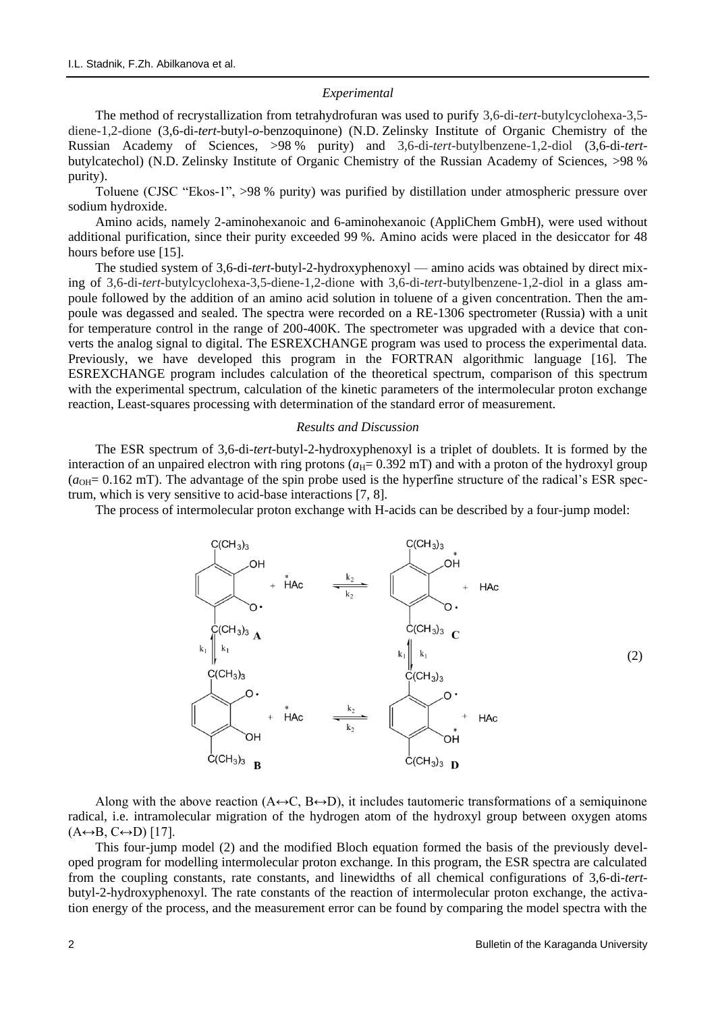### *Experimental*

The method of recrystallization from tetrahydrofuran was used to purify 3,6-di-*tert*-butylcyclohexa-3,5 diene-1,2-dione (3,6-di-*tert*-butyl-*o*-benzoquinone) (N.D. Zelinsky Institute of Organic Chemistry of the Russian Academy of Sciences, >98 % purity) and 3,6-di-*tert*-butylbenzene-1,2-diol (3,6-di-*tert*butylcatechol) (N.D. Zelinsky Institute of Organic Chemistry of the Russian Academy of Sciences, >98 % purity).

Toluene (CJSC "Ekos-1", >98 % purity) was purified by distillation under atmospheric pressure over sodium hydroxide.

Amino acids, namely 2-aminohexanoic and 6-aminohexanoic (AppliChem GmbH), were used without additional purification, since their purity exceeded 99 %. Amino acids were placed in the desiccator for 48 hours before use [15].

The studied system of 3,6-di-*tert*-butyl-2-hydroxyphenoxyl — amino acids was obtained by direct mixing of 3,6-di-*tert*-butylcyclohexa-3,5-diene-1,2-dione with 3,6-di-*tert*-butylbenzene-1,2-diol in a glass ampoule followed by the addition of an amino acid solution in toluene of a given concentration. Then the ampoule was degassed and sealed. The spectra were recorded on a RE-1306 spectrometer (Russia) with a unit for temperature control in the range of 200-400K. The spectrometer was upgraded with a device that converts the analog signal to digital. The ESREXCHANGE program was used to process the experimental data. Previously, we have developed this program in the FORTRAN algorithmic language [16]. The ESREXCHANGE program includes calculation of the theoretical spectrum, comparison of this spectrum with the experimental spectrum, calculation of the kinetic parameters of the intermolecular proton exchange reaction, Least-squares processing with determination of the standard error of measurement.

### *Results and Discussion*

The ESR spectrum of 3,6-di-*tert*-butyl-2-hydroxyphenoxyl is a triplet of doublets. It is formed by the interaction of an unpaired electron with ring protons  $(a_H= 0.392 \text{ mT})$  and with a proton of the hydroxyl group  $(a<sub>OH</sub>= 0.162$  mT). The advantage of the spin probe used is the hyperfine structure of the radical's ESR spectrum, which is very sensitive to acid-base interactions [7, 8].

The process of intermolecular proton exchange with H-acids can be described by a four-jump model:



Along with the above reaction ( $A \leftrightarrow C$ ,  $B \leftrightarrow D$ ), it includes tautomeric transformations of a semiquinone radical, i.e. intramolecular migration of the hydrogen atom of the hydroxyl group between oxygen atoms  $(A \leftrightarrow B, C \leftrightarrow D)$  [17].

This four-jump model (2) and the modified Bloch equation formed the basis of the previously developed program for modelling intermolecular proton exchange. In this program, the ESR spectra are calculated from the coupling constants, rate constants, and linewidths of all chemical configurations of 3,6-di-*tert*butyl-2-hydroxyphenoxyl. The rate constants of the reaction of intermolecular proton exchange, the activation energy of the process, and the measurement error can be found by comparing the model spectra with the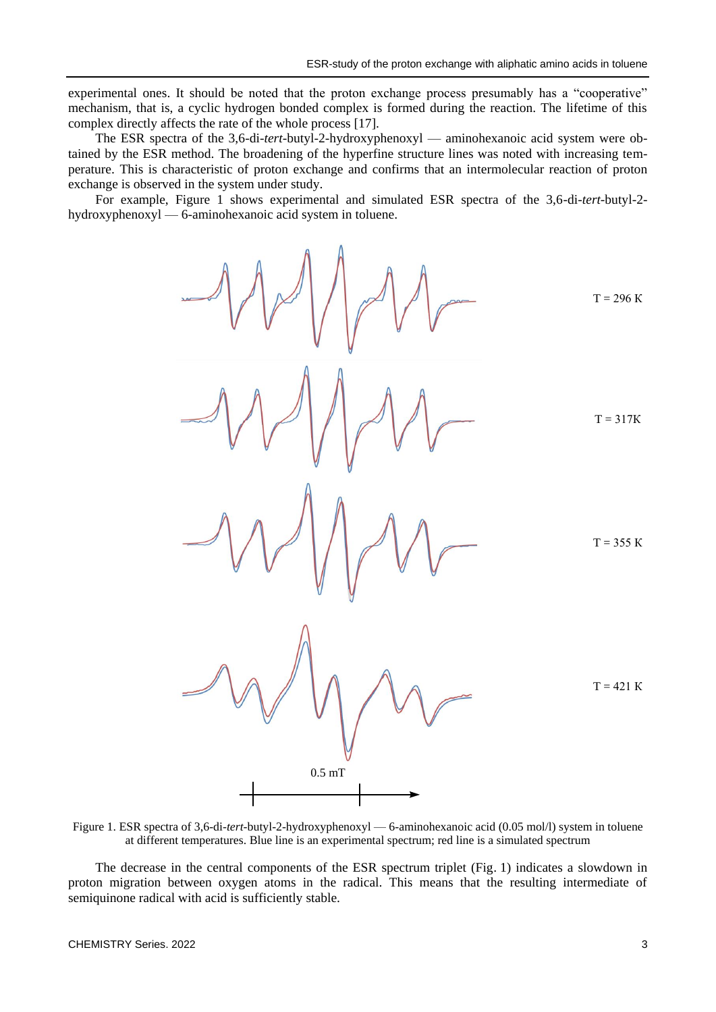experimental ones. It should be noted that the proton exchange process presumably has a "cooperative" mechanism, that is, a cyclic hydrogen bonded complex is formed during the reaction. The lifetime of this complex directly affects the rate of the whole process [17].

The ESR spectra of the 3,6-di-*tert*-butyl-2-hydroxyphenoxyl — aminohexanoic acid system were obtained by the ESR method. The broadening of the hyperfine structure lines was noted with increasing temperature. This is characteristic of proton exchange and confirms that an intermolecular reaction of proton exchange is observed in the system under study.

For example, Figure 1 shows experimental and simulated ESR spectra of the 3,6-di-*tert*-butyl-2 hydroxyphenoxyl — 6-aminohexanoic acid system in toluene.

T = 317К 0.5 mT

Figure 1. ESR spectra of 3,6-di-*tert*-butyl-2-hydroxyphenoxyl — 6-aminohexanoic acid (0.05 mol/l) system in toluene at different temperatures. Blue line is an experimental spectrum; red line is a simulated spectrum

The decrease in the central components of the ESR spectrum triplet (Fig. 1) indicates a slowdown in proton migration between oxygen atoms in the radical. This means that the resulting intermediate of semiquinone radical with acid is sufficiently stable.

 $K$ 

 $K$ 

 $\rm K$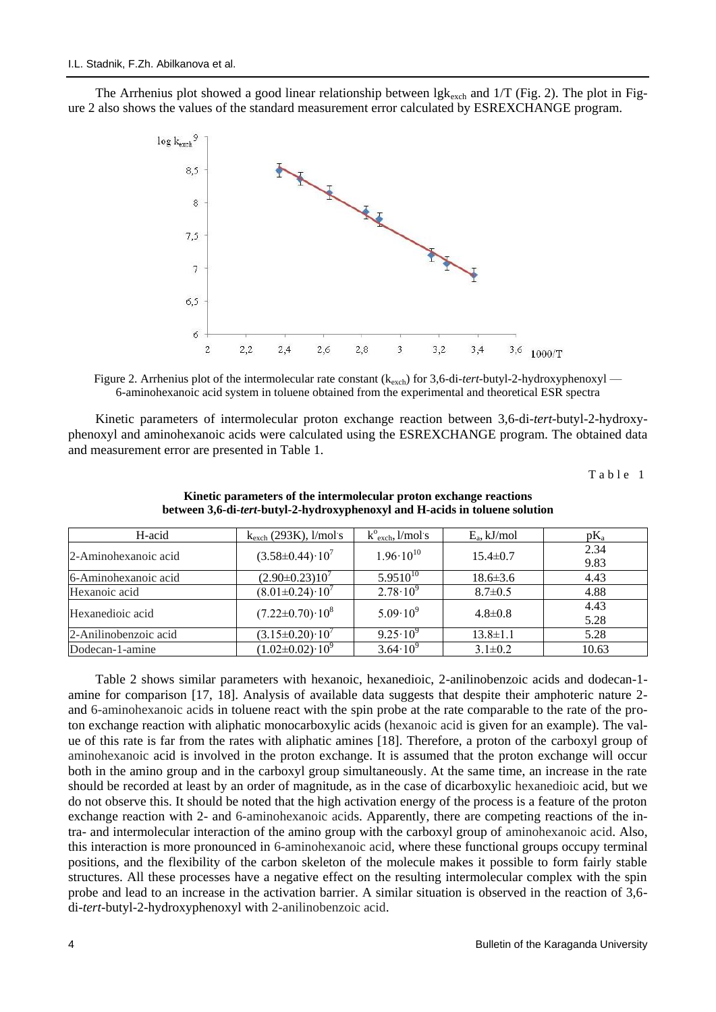The Arrhenius plot showed a good linear relationship between  $lgk_{exch}$  and 1/T (Fig. 2). The plot in Figure 2 also shows the values of the standard measurement error calculated by ESREXCHANGE program.



Figure 2. Arrhenius plot of the intermolecular rate constant ( $k_{\rm exch}$ ) for 3,6-di-*tert*-butyl-2-hydroxyphenoxyl — 6-aminohexanoic acid system in toluene obtained from the experimental and theoretical ESR spectra

Kinetic parameters of intermolecular proton exchange reaction between 3,6-di-*tert*-butyl-2-hydroxyphenoxyl and aminohexanoic acids were calculated using the ESREXCHANGE program. The obtained data and measurement error are presented in Table 1.

Table 1

| H-acid                | $k_{\rm exch}$ (293K), l/mol s | $k^{\circ}_{\text{exch}}, l/mol$ 's | $E_a$ , kJ/mol | $pK_a$       |
|-----------------------|--------------------------------|-------------------------------------|----------------|--------------|
| 2-Aminohexanoic acid  | $(3.58 \pm 0.44) \cdot 10^7$   | $1.96 \cdot 10^{10}$                | $15.4 \pm 0.7$ | 2.34<br>9.83 |
| 6-Aminohexanoic acid  | $(2.90 \pm 0.23) 10^7$         | $5.9510^{10}$                       | $18.6 \pm 3.6$ | 4.43         |
| Hexanoic acid         | $(8.01 \pm 0.24) \cdot 10^7$   | $2.78 \cdot 10^{9}$                 | $8.7 \pm 0.5$  | 4.88         |
| Hexanedioic acid      | $(7.22 \pm 0.70) \cdot 10^8$   | $5.09 \cdot 10^{9}$                 | $4.8 \pm 0.8$  | 4.43<br>5.28 |
| 2-Anilinobenzoic acid | $(3.15 \pm 0.20) \cdot 10^7$   | $9.25 \cdot 10^{9}$                 | $13.8 \pm 1.1$ | 5.28         |
| Dodecan-1-amine       | $(1.02 \pm 0.02) \cdot 10^9$   | $3.64 \cdot 10^{9}$                 | $3.1 \pm 0.2$  | 10.63        |

**Kinetic parameters of the intermolecular proton exchange reactions between 3,6-di-***tert-***butyl-2-hydroxyphenoxyl and H-acids in toluene solution**

Table 2 shows similar parameters with hexanoic, hexanedioic, 2-anilinobenzoic acids and dodecan-1 amine for comparison [17, 18]. Analysis of available data suggests that despite their amphoteric nature 2 and 6-aminohexanoic acids in toluene react with the spin probe at the rate comparable to the rate of the proton exchange reaction with aliphatic monocarboxylic acids (hexanoic acid is given for an example). The value of this rate is far from the rates with aliphatic amines [18]. Therefore, a proton of the carboxyl group of aminohexanoic acid is involved in the proton exchange. It is assumed that the proton exchange will occur both in the amino group and in the carboxyl group simultaneously. At the same time, an increase in the rate should be recorded at least by an order of magnitude, as in the case of dicarboxylic hexanedioic acid, but we do not observe this. It should be noted that the high activation energy of the process is a feature of the proton exchange reaction with 2- and 6-aminohexanoic acids. Apparently, there are competing reactions of the intra- and intermolecular interaction of the amino group with the carboxyl group of aminohexanoic acid. Also, this interaction is more pronounced in 6-aminohexanoic acid, where these functional groups occupy terminal positions, and the flexibility of the carbon skeleton of the molecule makes it possible to form fairly stable structures. All these processes have a negative effect on the resulting intermolecular complex with the spin probe and lead to an increase in the activation barrier. A similar situation is observed in the reaction of 3,6 di-*tert*-butyl-2-hydroxyphenoxyl with 2-anilinobenzoic acid.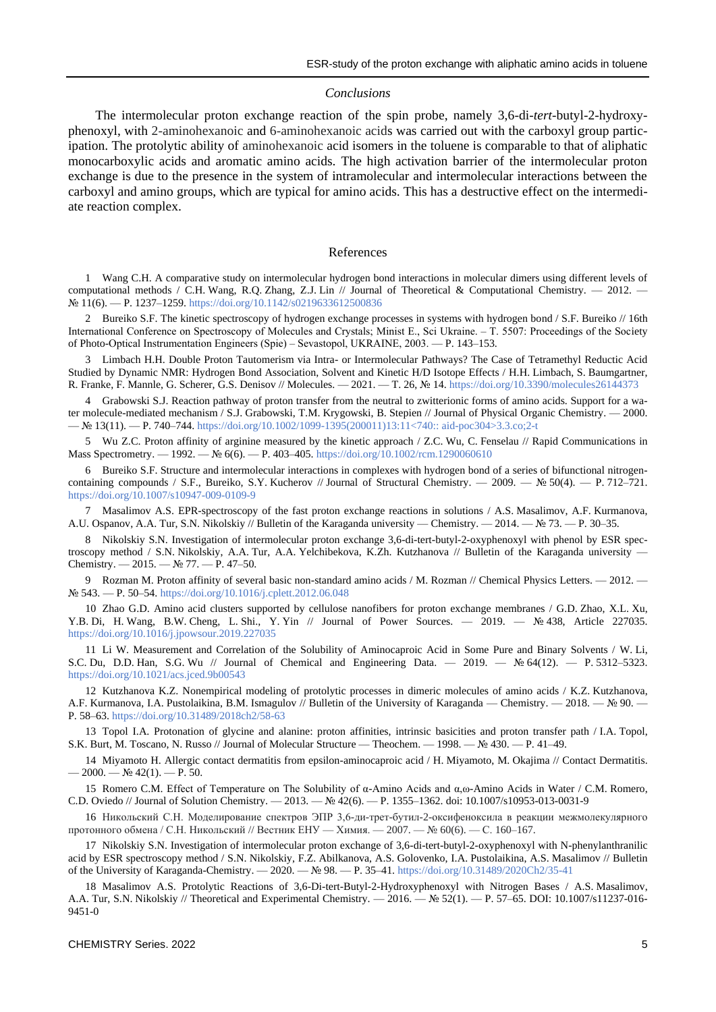#### *Conclusions*

The intermolecular proton exchange reaction of the spin probe, namely 3,6-di-*tert*-butyl-2-hydroxyphenoxyl, with 2-aminohexanoic and 6-aminohexanoic acids was carried out with the carboxyl group participation. The protolytic ability of aminohexanoic acid isomers in the toluene is comparable to that of aliphatic monocarboxylic acids and aromatic amino acids. The high activation barrier of the intermolecular proton exchange is due to the presence in the system of intramolecular and intermolecular interactions between the carboxyl and amino groups, which are typical for amino acids. This has a destructive effect on the intermediate reaction complex.

#### References

1 Wang C.H. A comparative study on intermolecular hydrogen bond interactions in molecular dimers using different levels of computational methods / C.H. Wang, R.O. Zhang, Z.J. Lin // Journal of Theoretical & Computational Chemistry.  $-2012$ . № 11(6). — P. 1237–1259[. https://doi.org/10.1142/s0219633612500836](https://doi.org/10.1142/s0219633612500836)

2 Bureiko S.F. The kinetic spectroscopy of hydrogen exchange processes in systems with hydrogen bond / S.F. Bureiko // 16th International Conference on Spectroscopy of Molecules and Crystals; Minist E., Sci Ukraine. ‒ T. 5507: Proceedings of the Society of Photo-Optical Instrumentation Engineers (Spie) ‒ Sevastopol, UKRAINE, 2003. — P. 143–153.

3 Limbach H.H. Double Proton Tautomerism via Intra- or Intermolecular Pathways? The Case of Tetramethyl Reductic Acid Studied by Dynamic NMR: Hydrogen Bond Association, Solvent and Kinetic H/D Isotope Effects / H.H. Limbach, S. Baumgartner, R. Franke, F. Mannle, G. Scherer, G.S. Denisov // Molecules. — 2021. — T. 26, № 14.<https://doi.org/10.3390/molecules26144373>

4 Grabowski S.J. Reaction pathway of proton transfer from the neutral to zwitterionic forms of amino acids. Support for a water molecule-mediated mechanism / S.J. Grabowski, T.M. Krygowski, B. Stepien // Journal of Physical Organic Chemistry. — 2000. — № 13(11). — P. 740–744. [https://doi.org/10.1002/1099-1395\(200011\)13:11<740::](https://doi.org/10.1002/1099-1395(200011)13:11%3c740::aid-poc304%3e3.3.co;2-t) aid-poc304>3.3.co;2-t

5 Wu Z.C. Proton affinity of arginine measured by the kinetic approach / Z.C. Wu, C. Fenselau // Rapid Communications in Mass Spectrometry. — 1992. — № 6(6). — P. 403–405. <https://doi.org/10.1002/rcm.1290060610>

6 Bureiko S.F. Structure and intermolecular interactions in complexes with hydrogen bond of a series of bifunctional nitrogencontaining compounds / S.F., Bureiko, S.Y. Kucherov // Journal of Structural Chemistry. — 2009. — № 50(4). — P. 712–721. <https://doi.org/10.1007/s10947-009-0109-9>

7 Masalimov A.S. EPR-spectroscopy of the fast proton exchange reactions in solutions / A.S. Masalimov, A.F. Kurmanova, A.U. Ospanov, A.A. Tur, S.N. Nikolskiy // Bulletin of the Karaganda university — Chemistry. — 2014. — № 73. — P. 30–35.

8 Nikolskiy S.N. Investigation of intermolecular proton exchange 3,6-di-tert-butyl-2-oxyphenoxyl with phenol by ESR spectroscopy method / S.N. Nikolskiy, A.A. Tur, A.A. Yelchibekova, K.Zh. Kutzhanova // Bulletin of the Karaganda university — Chemistry. — 2015. — № 77. — P. 47–50.

9 Rozman M. Proton affinity of several basic non-standard amino acids / M. Rozman // Chemical Physics Letters. — 2012. — № 543. — P. 50–54. <https://doi.org/10.1016/j.cplett.2012.06.048>

10 Zhao G.D. Amino acid clusters supported by cellulose nanofibers for proton exchange membranes / G.D. Zhao, X.L. Xu, Y.B. Di, H. Wang, B.W. Cheng, L. Shi., Y. Yin // Journal of Power Sources. — 2019. — № 438, Article 227035. <https://doi.org/10.1016/j.jpowsour.2019.227035>

11 Li W. Measurement and Correlation of the Solubility of Aminocaproic Acid in Some Pure and Binary Solvents / W. Li, S.C. Du, D.D. Han, S.G. Wu // Journal of Chemical and Engineering Data. — 2019. — № 64(12). — P. 5312–5323. <https://doi.org/10.1021/acs.jced.9b00543>

12 Kutzhanova K.Z. Nonempirical modeling of protolytic processes in dimeric molecules of amino acids / K.Z. Kutzhanova, A.F. Kurmanova, I.A. Pustolaikina, B.M. Ismagulov // Bulletin of the University of Karaganda — Chemistry. — 2018. — № 90. — P. 58–63.<https://doi.org/10.31489/2018ch2/58-63>

13 Topol I.A. Protonation of glycine and alanine: proton affinities, intrinsic basicities and proton transfer path / I.A. Topol, S.K. Burt, M. Toscano, N. Russo // Journal of Molecular Structure — Theochem. — 1998. — № 430. — P. 41–49.

14 Miyamoto H. Allergic contact dermatitis from epsilon-aminocaproic acid / H. Miyamoto, M. Okajima // Contact Dermatitis.  $-2000 - N_2$  42(1).  $- P. 50$ .

15 Romero C.M. Effect of Temperature on The Solubility of α-Amino Acids and α,ω-Amino Acids in Water / C.M. Romero, C.D. Oviedo // Journal of Solution Chemistry. — 2013. — № 42(6). — P. 1355–1362. doi: 10.1007/s10953-013-0031-9

16 Никольский С.Н. Моделирование спектров ЭПР 3,6-ди-трет-бутил-2-оксифеноксила в реакции межмолекулярного протонного обмена / С.Н. Никольский // Вестник ЕНУ — Химия. — 2007. — № 60(6). — С. 160–167.

17 Nikolskiy S.N. Investigation of intermolecular proton exchange of 3,6-di-tert-butyl-2-oxyphenoxyl with N-phenylanthranilic acid by ESR spectroscopy method / S.N. Nikolskiy, F.Z. Abilkanova, A.S. Golovenko, I.A. Pustolaikina, A.S. Masalimov // Bulletin of the University of Karaganda-Chemistry. — 2020. — № 98. — P. 35–41. <https://doi.org/10.31489/2020Ch2/35-41>

18 Masalimov A.S. Protolytic Reactions of 3,6-Di-tert-Butyl-2-Hydroxyphenoxyl with Nitrogen Bases / A.S. Masalimov, A.A. Tur, S.N. Nikolskiy // Theoretical and Experimental Chemistry. — 2016. — № 52(1). — P. 57–65. DOI: 10.1007/s11237-016- 9451-0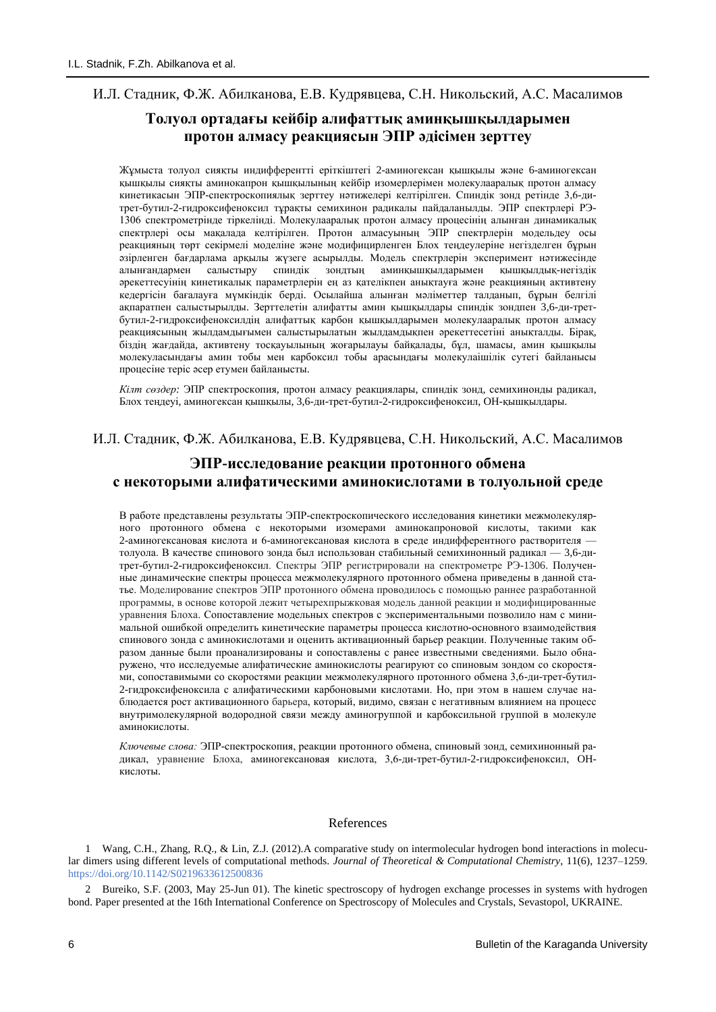## И.Л. Стадник, Ф.Ж. Абилканова, Е.В. Кудрявцева, С.Н. Никольский, А.С. Масалимов

# **Толуол ортадағы кейбір алифаттық аминқышқылдарымен протон алмасу реакциясын ЭПР әдісімен зерттеу**

Жұмыста толуол сияқты индифферентті еріткіштегі 2-аминогексан қышқылы және 6-аминогексан қышқылы сияқты аминокапрон қышқылының кейбір изомерлерімен молекулааралық протон алмасу кинетикасын ЭПР-спектроскопиялық зерттеу нәтижелері келтірілген. Спиндік зонд ретінде 3,6-дитрет-бутил-2-гидроксифеноксил тұрақты семихинон радикалы пайдаланылды. ЭПР спектрлері РЭ-1306 спектрометрінде тіркелінді. Молекулааралық протон алмасу процесінің алынған динамикалық спектрлері осы мақалада келтірілген. Протон алмасуының ЭПР спектрлерін модельдеу осы реакцияның төрт секірмелі моделіне және модифицирленген Блох теңдеулеріне негізделген бұрын әзірленген бағдарлама арқылы жүзеге асырылды. Модель спектрлерін эксперимент нәтижесінде алынғандармен салыстыру спиндік зондтың аминқышқылдарымен қышқылдық-негіздік әрекеттесуінің кинетикалық параметрлерін ең аз қателікпен анықтауға және реакцияның активтену кедергісін бағалауға мүмкіндік берді. Осылайша алынған мәліметтер талданып, бұрын белгілі ақпаратпен салыстырылды. Зерттелетін алифатты амин қышқылдары спиндік зондпен 3,6-ди-третбутил-2-гидроксифеноксилдің алифаттық карбон қышқылдарымен молекулааралық протон алмасу реакциясының жылдамдығымен салыстырылатын жылдамдықпен әрекеттесетіні анықталды. Бірақ, біздің жағдайда, активтену тосқауылының жоғарылауы байқалады, бұл, шамасы, амин қышқылы молекуласындағы амин тобы мен карбоксил тобы арасындағы молекулаішілік сутегі байланысы процесіне теріс әсер етумен байланысты.

*Кілт сөздер:* ЭПР спектроскопия, протон алмасу реакциялары, спиндік зонд, семихинонды радикал, Блох теңдеуі, аминогексан қышқылы, 3,6-ди-трет-бутил-2-гидроксифеноксил, OH-қышқылдары.

## И.Л. Стадник, Ф.Ж. Абилканова, Е.В. Кудрявцева, С.Н. Никольский, А.С. Масалимов

# **ЭПР-исследование реакции протонного обмена с некоторыми алифатическими аминокислотами в толуольной среде**

В работе представлены результаты ЭПР-спектроскопического исследования кинетики межмолекулярного протонного обмена с некоторыми изомерами аминокапроновой кислоты, такими как 2-аминогексановая кислота и 6-аминогексановая кислота в среде индифферентного растворителя толуола. В качестве спинового зонда был использован стабильный семихинонный радикал — 3,6-дитрет-бутил-2-гидроксифеноксил. Спектры ЭПР регистрировали на спектрометре РЭ-1306. Полученные динамические спектры процесса межмолекулярного протонного обмена приведены в данной статье. Моделирование спектров ЭПР протонного обмена проводилось с помощью раннее разработанной программы, в основе которой лежит четырехпрыжковая модель данной реакции и модифицированные уравнения Блоха. Сопоставление модельных спектров с экспериментальными позволило нам с минимальной ошибкой определить кинетические параметры процесса кислотно-основного взаимодействия спинового зонда с аминокислотами и оценить активационный барьер реакции. Полученные таким образом данные были проанализированы и сопоставлены с ранее известными сведениями. Было обнаружено, что исследуемые алифатические аминокислоты реагируют со спиновым зондом со скоростями, сопоставимыми со скоростями реакции межмолекулярного протонного обмена 3,6-ди-трет-бутил-2-гидроксифеноксила с алифатическими карбоновыми кислотами. Но, при этом в нашем случае наблюдается рост активационного барьера, который, видимо, связан с негативным влиянием на процесс внутримолекулярной водородной связи между аминогруппой и карбоксильной группой в молекуле аминокислоты.

*Ключевые слова:* ЭПР-спектроскопия, реакции протонного обмена, спиновый зонд, семихинонный радикал, уравнение Блоха, аминогексановая кислота, 3,6-ди-трет-бутил-2-гидроксифеноксил, OHкислоты.

### References

1 Wang, C.H., Zhang, R.Q., & Lin, Z.J. (2012).A comparative study on intermolecular hydrogen bond interactions in molecular dimers using different levels of computational methods. *Journal of Theoretical & Computational Chemistry*, 11(6), 1237–1259. <https://doi.org/10.1142/S0219633612500836>

2 Bureiko, S.F. (2003, May 25-Jun 01). The kinetic spectroscopy of hydrogen exchange processes in systems with hydrogen bond. Paper presented at the 16th International Conference on Spectroscopy of Molecules and Crystals, Sevastopol, UKRAINE.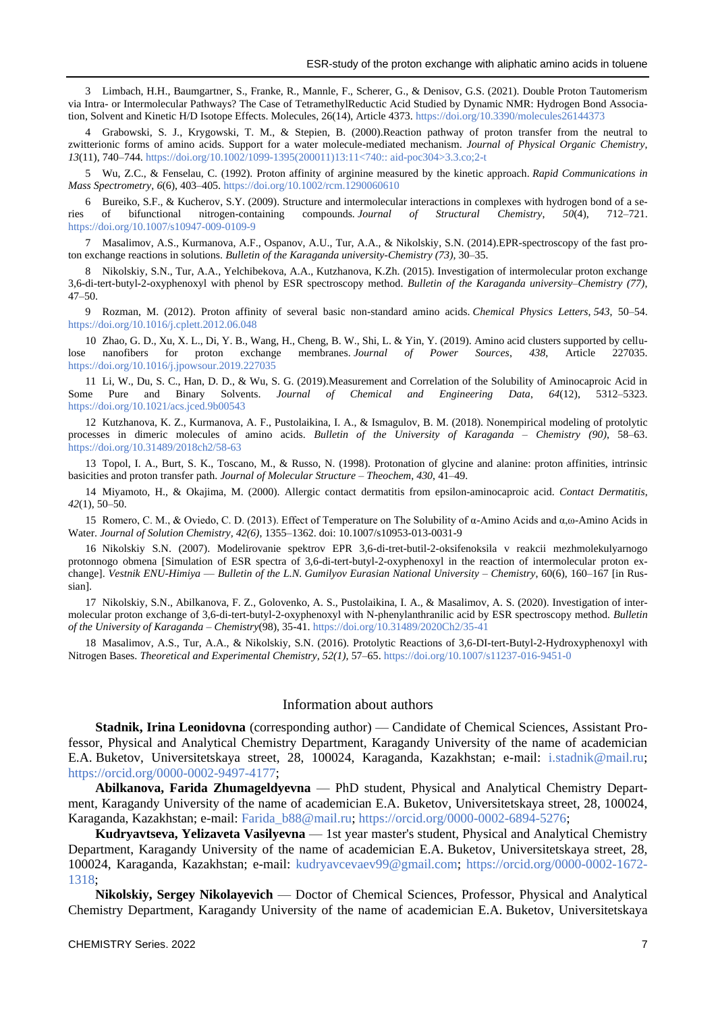3 Limbach, H.H., Baumgartner, S., Franke, R., Mannle, F., Scherer, G., & Denisov, G.S. (2021). Double Proton Tautomerism via Intra- or Intermolecular Pathways? The Case of TetramethylReductic Acid Studied by Dynamic NMR: Hydrogen Bond Association, Solvent and Kinetic H/D Isotope Effects. Molecules, 26(14), Article 4373[. https://doi.org/10.3390/molecules26144373](https://doi.org/10.3390/molecules26144373)

4 Grabowski, S. J., Krygowski, T. M., & Stepien, B. (2000).Reaction pathway of proton transfer from the neutral to zwitterionic forms of amino acids. Support for a water molecule-mediated mechanism. *Journal of Physical Organic Chemistry*, *13*(11), 740–744. [https://doi.org/10.1002/1099-1395\(200011\)13:11<740::](https://doi.org/10.1002/1099-1395(200011)13:11%3c740::aid-poc304%3e3.3.co;2-t) aid-poc304>3.3.co;2-t

5 Wu, Z.C., & Fenselau, C. (1992). Proton affinity of arginine measured by the kinetic approach. *Rapid Communications in Mass Spectrometry*, *6*(6), 403–405. <https://doi.org/10.1002/rcm.1290060610>

6 Bureiko, S.F., & Kucherov, S.Y. (2009). Structure and intermolecular interactions in complexes with hydrogen bond of a series of bifunctional nitrogen-containing compounds. *Journal of Structural Chemistry*, *50*(4), 712–721. <https://doi.org/10.1007/s10947-009-0109-9>

7 Masalimov, A.S., Kurmanova, A.F., Ospanov, A.U., Tur, A.A., & Nikolskiy, S.N. (2014).EPR-spectroscopy of the fast proton exchange reactions in solutions. *Bulletin of the Karaganda university-Chemistry (73),* 30–35.

8 Nikolskiy, S.N., Tur, A.A., Yelchibekova, A.A., Kutzhanova, K.Zh. (2015). Investigation of intermolecular proton exchange 3,6-di-tert-butyl-2-oxyphenoxyl with phenol by ESR spectroscopy method. *Bulletin of the Karaganda university–Chemistry (77)*, 47–50.

9 Rozman, M. (2012). Proton affinity of several basic non-standard amino acids. *Chemical Physics Letters*, *543*, 50–54. <https://doi.org/10.1016/j.cplett.2012.06.048>

10 Zhao, G. D., Xu, X. L., Di, Y. B., Wang, H., Cheng, B. W., Shi, L. & Yin, Y. (2019). Amino acid clusters supported by cellulose nanofibers for proton exchange membranes. *Journal of Power Sources*, *438*, Article 227035. <https://doi.org/10.1016/j.jpowsour.2019.227035>

11 Li, W., Du, S. C., Han, D. D., & Wu, S. G. (2019).Measurement and Correlation of the Solubility of Aminocaproic Acid in Some Pure and Binary Solvents. *Journal of Chemical and Engineering Data*, *64*(12), 5312–5323. <https://doi.org/10.1021/acs.jced.9b00543>

12 Kutzhanova, K. Z., Kurmanova, A. F., Pustolaikina, I. A., & Ismagulov, B. M. (2018). Nonempirical modeling of protolytic processes in dimeric molecules of amino acids. *Bulletin of the University of Karaganda – Chemistry (90)*, 58–63. <https://doi.org/10.31489/2018ch2/58-63>

13 Topol, I. A., Burt, S. K., Toscano, M., & Russo, N. (1998). Protonation of glycine and alanine: proton affinities, intrinsic basicities and proton transfer path. *Journal of Molecular Structure – Theochem*, *430*, 41–49.

14 Miyamoto, H., & Okajima, M. (2000). Allergic contact dermatitis from epsilon-aminocaproic acid. *Contact Dermatitis*, *42*(1), 50–50.

15 Romero, C. M., & Oviedo, C. D. (2013). Effect of Temperature on The Solubility of α-Amino Acids and α,ω-Amino Acids in Water. *Journal of Solution Chemistry, 42(6)*, 1355–1362. doi: 10.1007/s10953-013-0031-9

16 Nikolskiy S.N. (2007). Modelirovanie spektrov EPR 3,6-di-tret-butil-2-oksifenoksila v reakcii mezhmolekulyarnogo protonnogo obmena [Simulation of ESR spectra of 3,6-di-tert-butyl-2-oxyphenoxyl in the reaction of intermolecular proton exchange]. *Vestnik ENU-Himiya* — *Bulletin of the L.N. Gumilyov Eurasian National University – Chemistry*, 60(6), 160–167 [in Russian].

17 Nikolskiy, S.N., Abilkanova, F. Z., Golovenko, A. S., Pustolaikina, I. A., & Masalimov, A. S. (2020). Investigation of intermolecular proton exchange of 3,6-di-tert-butyl-2-oxyphenoxyl with N-phenylanthranilic acid by ESR spectroscopy method. *Bulletin of the University of Karaganda – Chemistry*(98), 35-41. <https://doi.org/10.31489/2020Ch2/35-41>

18 Masalimov, A.S., Tur, A.A., & Nikolskiy, S.N. (2016). Protolytic Reactions of 3,6-DI-tert-Butyl-2-Hydroxyphenoxyl with Nitrogen Bases. *Theoretical and Experimental Chemistry, 52(1),* 57–65.<https://doi.org/10.1007/s11237-016-9451-0>

### Information about authors

**Stadnik, Irina Leonidovna** (corresponding author) — Candidate of Chemical Sciences, Assistant Professor, Physical and Analytical Chemistry Department, Karagandy University of the name of academician E.A. Buketov, Universitetskaya street, 28, 100024, Karaganda, Kazakhstan; e-mail: [i.stadnik@mail.ru;](mailto:i.stadnik@mail.ru) [https://orcid.org/0000-0002-9497-4177;](https://orcid.org/0000-0002-9497-4177)

**Abilkanova, Farida Zhumageldyevna** — PhD student, Physical and Analytical Chemistry Department, Karagandy University of the name of academician E.A. Buketov, Universitetskaya street, 28, 100024, Karaganda, Kazakhstan; e-mail: [Farida\\_b88@mail.ru;](mailto:Farida_b88@mail.ru) [https://orcid.org/0000-0002-6894-5276;](https://orcid.org/0000-0002-6894-5276)

**Kudryavtseva, Yelizaveta Vasilyevna** — 1st year master's student, Physical and Analytical Chemistry Department, Karagandy University of the name of academician E.A. Buketov, Universitetskaya street, 28, 100024, Karaganda, Kazakhstan; e-mail: [kudryavcevaev99@gmail.com;](mailto:kudryavcevaev99@gmail.com) [https://orcid.org/0000-0002-1672-](https://orcid.org/0000-0002-1672-1318) [1318;](https://orcid.org/0000-0002-1672-1318)

**Nikolskiy, Sergey Nikolayevich** — Doctor of Chemical Sciences, Professor, Physical and Analytical Chemistry Department, Karagandy University of the name of academician E.A. Buketov, Universitetskaya